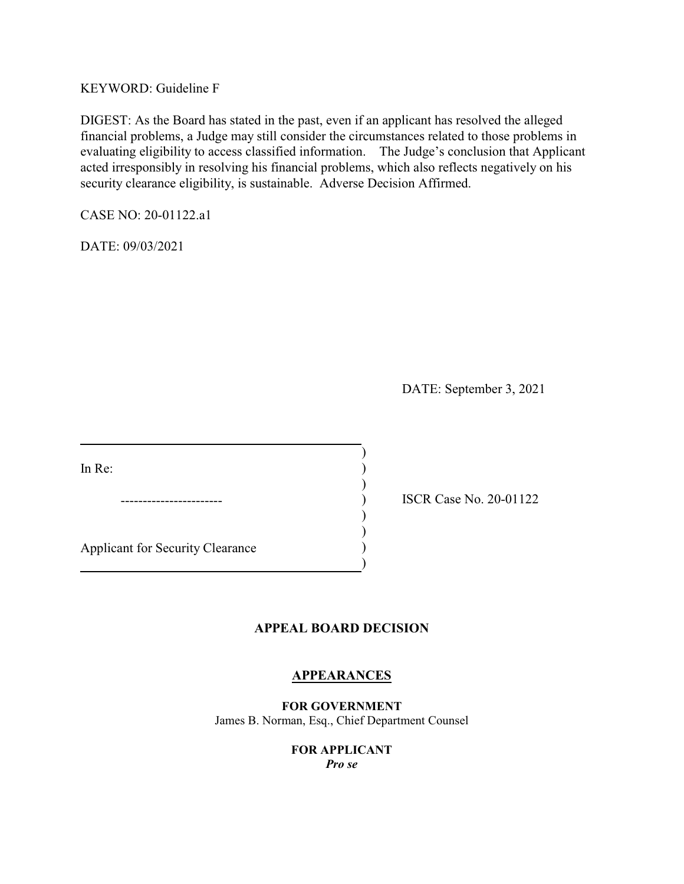KEYWORD: Guideline F

DIGEST: As the Board has stated in the past, even if an applicant has resolved the alleged financial problems, a Judge may still consider the circumstances related to those problems in evaluating eligibility to access classified information. The Judge's conclusion that Applicant acted irresponsibly in resolving his financial problems, which also reflects negatively on his security clearance eligibility, is sustainable. Adverse Decision Affirmed.

CASE NO: 20-01122.a1

DATE: 09/03/2021

DATE: September 3, 2021

| In Re:                                  |  |
|-----------------------------------------|--|
|                                         |  |
| <b>Applicant for Security Clearance</b> |  |

) ISCR Case No. 20-01122

# **APPEAL BOARD DECISION**

)

## **APPEARANCES**

**FOR GOVERNMENT**  James B. Norman, Esq., Chief Department Counsel

> **FOR APPLICANT**  *Pro se*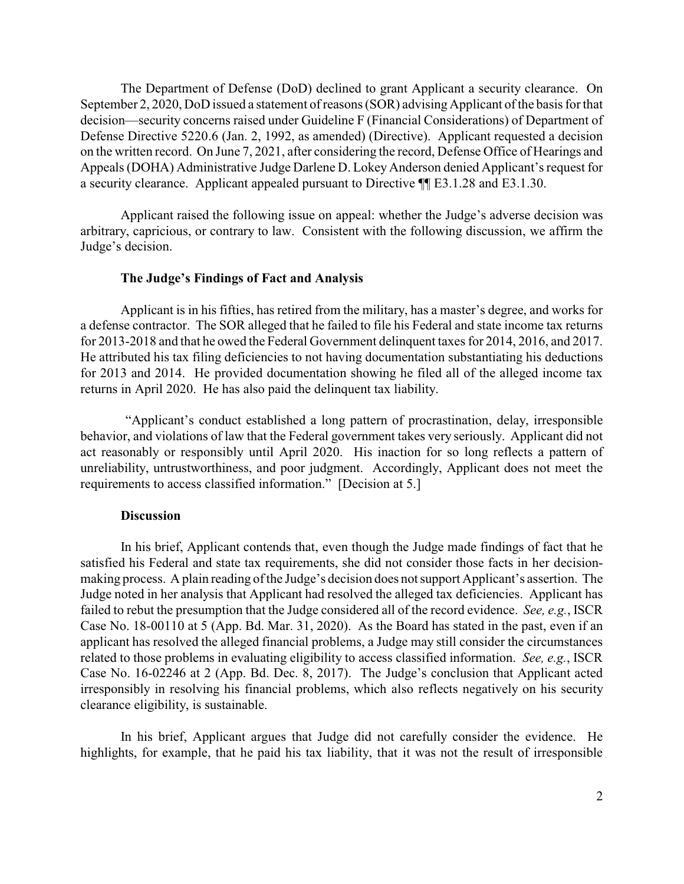The Department of Defense (DoD) declined to grant Applicant a security clearance. On Appeals (DOHA) Administrative Judge Darlene D. Lokey Anderson denied Applicant's request for September 2, 2020, DoD issued a statement of reasons (SOR) advising Applicant of the basis for that decision—security concerns raised under Guideline F (Financial Considerations) of Department of Defense Directive 5220.6 (Jan. 2, 1992, as amended) (Directive). Applicant requested a decision on the written record. On June 7, 2021, after considering the record, Defense Office of Hearings and a security clearance. Applicant appealed pursuant to Directive ¶¶ E3.1.28 and E3.1.30.

 Applicant raised the following issue on appeal: whether the Judge's adverse decision was arbitrary, capricious, or contrary to law. Consistent with the following discussion, we affirm the Judge's decision.

### **The Judge's Findings of Fact and Analysis**

 Applicant is in his fifties, has retired from the military, has a master's degree, and works for a defense contractor. The SOR alleged that he failed to file his Federal and state income tax returns for 2013 and 2014. He provided documentation showing he filed all of the alleged income tax for 2013-2018 and that he owed the Federal Government delinquent taxes for 2014, 2016, and 2017. He attributed his tax filing deficiencies to not having documentation substantiating his deductions returns in April 2020. He has also paid the delinquent tax liability.

 behavior, and violations of law that the Federal government takes very seriously. Applicant did not act reasonably or responsibly until April 2020. His inaction for so long reflects a pattern of unreliability, untrustworthiness, and poor judgment. Accordingly, Applicant does not meet the "Applicant's conduct established a long pattern of procrastination, delay, irresponsible requirements to access classified information." [Decision at 5.]

### **Discussion**

 satisfied his Federal and state tax requirements, she did not consider those facts in her decision- making process. A plain reading of the Judge's decision does not support Applicant's assertion. The applicant has resolved the alleged financial problems, a Judge may still consider the circumstances irresponsibly in resolving his financial problems, which also reflects negatively on his security In his brief, Applicant contends that, even though the Judge made findings of fact that he Judge noted in her analysis that Applicant had resolved the alleged tax deficiencies. Applicant has failed to rebut the presumption that the Judge considered all of the record evidence. *See, e.g.*, ISCR Case No. 18-00110 at 5 (App. Bd. Mar. 31, 2020). As the Board has stated in the past, even if an related to those problems in evaluating eligibility to access classified information. *See, e.g.*, ISCR Case No. 16-02246 at 2 (App. Bd. Dec. 8, 2017). The Judge's conclusion that Applicant acted clearance eligibility, is sustainable.

 highlights, for example, that he paid his tax liability, that it was not the result of irresponsible In his brief, Applicant argues that Judge did not carefully consider the evidence. He